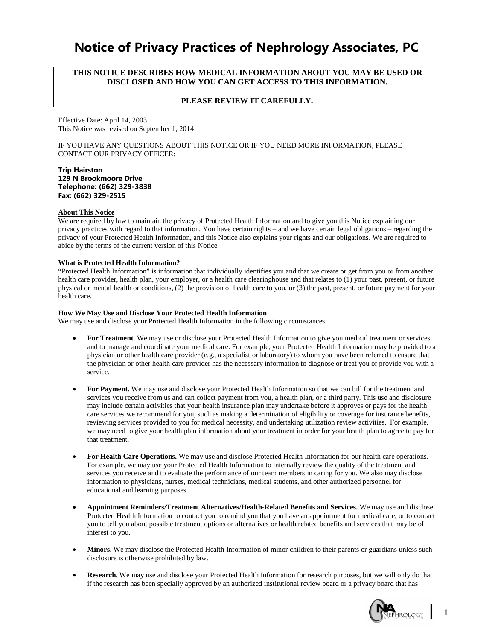# **Notice of Privacy Practices of Nephrology Associates, PC**

# **THIS NOTICE DESCRIBES HOW MEDICAL INFORMATION ABOUT YOU MAY BE USED OR DISCLOSED AND HOW YOU CAN GET ACCESS TO THIS INFORMATION.**

#### **PLEASE REVIEW IT CAREFULLY.**

Effective Date: April 14, 2003 This Notice was revised on September 1, 2014

IF YOU HAVE ANY QUESTIONS ABOUT THIS NOTICE OR IF YOU NEED MORE INFORMATION, PLEASE CONTACT OUR PRIVACY OFFICER:

#### **Trip Hairston 129 N Brookmoore Drive Telephone: (662) 329-3838 Fax: (662) 329-2515**

#### **About This Notice**

We are required by law to maintain the privacy of Protected Health Information and to give you this Notice explaining our privacy practices with regard to that information. You have certain rights – and we have certain legal obligations – regarding the privacy of your Protected Health Information, and this Notice also explains your rights and our obligations. We are required to abide by the terms of the current version of this Notice.

# **What is Protected Health Information?**

"Protected Health Information" is information that individually identifies you and that we create or get from you or from another health care provider, health plan, your employer, or a health care clearinghouse and that relates to (1) your past, present, or future physical or mental health or conditions, (2) the provision of health care to you, or (3) the past, present, or future payment for your health care.

#### **How We May Use and Disclose Your Protected Health Information**

We may use and disclose your Protected Health Information in the following circumstances:

- **For Treatment.** We may use or disclose your Protected Health Information to give you medical treatment or services and to manage and coordinate your medical care. For example, your Protected Health Information may be provided to a physician or other health care provider (e.g., a specialist or laboratory) to whom you have been referred to ensure that the physician or other health care provider has the necessary information to diagnose or treat you or provide you with a service.
- **For Payment.** We may use and disclose your Protected Health Information so that we can bill for the treatment and services you receive from us and can collect payment from you, a health plan, or a third party. This use and disclosure may include certain activities that your health insurance plan may undertake before it approves or pays for the health care services we recommend for you, such as making a determination of eligibility or coverage for insurance benefits, reviewing services provided to you for medical necessity, and undertaking utilization review activities. For example, we may need to give your health plan information about your treatment in order for your health plan to agree to pay for that treatment.
- **For Health Care Operations.** We may use and disclose Protected Health Information for our health care operations. For example, we may use your Protected Health Information to internally review the quality of the treatment and services you receive and to evaluate the performance of our team members in caring for you. We also may disclose information to physicians, nurses, medical technicians, medical students, and other authorized personnel for educational and learning purposes.
- **Appointment Reminders/Treatment Alternatives/Health-Related Benefits and Services.** We may use and disclose Protected Health Information to contact you to remind you that you have an appointment for medical care, or to contact you to tell you about possible treatment options or alternatives or health related benefits and services that may be of interest to you.
- **Minors.** We may disclose the Protected Health Information of minor children to their parents or guardians unless such disclosure is otherwise prohibited by law.
- **Research**. We may use and disclose your Protected Health Information for research purposes, but we will only do that if the research has been specially approved by an authorized institutional review board or a privacy board that has

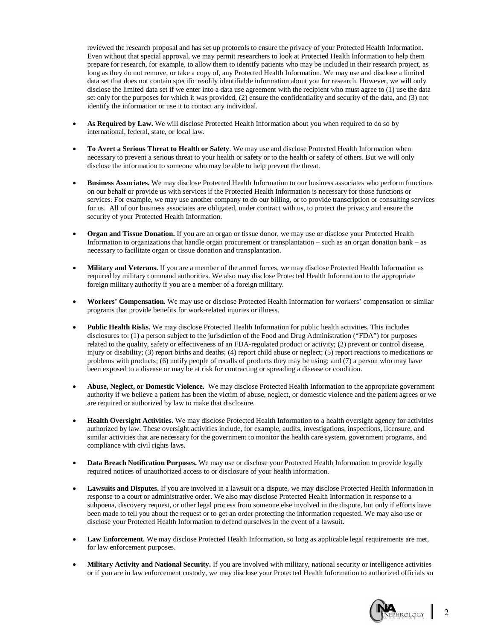reviewed the research proposal and has set up protocols to ensure the privacy of your Protected Health Information. Even without that special approval, we may permit researchers to look at Protected Health Information to help them prepare for research, for example, to allow them to identify patients who may be included in their research project, as long as they do not remove, or take a copy of, any Protected Health Information. We may use and disclose a limited data set that does not contain specific readily identifiable information about you for research. However, we will only disclose the limited data set if we enter into a data use agreement with the recipient who must agree to (1) use the data set only for the purposes for which it was provided, (2) ensure the confidentiality and security of the data, and (3) not identify the information or use it to contact any individual.

- **As Required by Law.** We will disclose Protected Health Information about you when required to do so by international, federal, state, or local law.
- **To Avert a Serious Threat to Health or Safety**. We may use and disclose Protected Health Information when necessary to prevent a serious threat to your health or safety or to the health or safety of others. But we will only disclose the information to someone who may be able to help prevent the threat.
- **Business Associates.** We may disclose Protected Health Information to our business associates who perform functions on our behalf or provide us with services if the Protected Health Information is necessary for those functions or services. For example, we may use another company to do our billing, or to provide transcription or consulting services for us. All of our business associates are obligated, under contract with us, to protect the privacy and ensure the security of your Protected Health Information.
- **Organ and Tissue Donation.** If you are an organ or tissue donor, we may use or disclose your Protected Health Information to organizations that handle organ procurement or transplantation – such as an organ donation bank – as necessary to facilitate organ or tissue donation and transplantation.
- **Military and Veterans.** If you are a member of the armed forces, we may disclose Protected Health Information as required by military command authorities. We also may disclose Protected Health Information to the appropriate foreign military authority if you are a member of a foreign military.
- **Workers' Compensation.** We may use or disclose Protected Health Information for workers' compensation or similar programs that provide benefits for work-related injuries or illness.
- **Public Health Risks.** We may disclose Protected Health Information for public health activities. This includes disclosures to: (1) a person subject to the jurisdiction of the Food and Drug Administration ("FDA") for purposes related to the quality, safety or effectiveness of an FDA-regulated product or activity; (2) prevent or control disease, injury or disability; (3) report births and deaths; (4) report child abuse or neglect; (5) report reactions to medications or problems with products; (6) notify people of recalls of products they may be using; and (7) a person who may have been exposed to a disease or may be at risk for contracting or spreading a disease or condition.
- **Abuse, Neglect, or Domestic Violence.** We may disclose Protected Health Information to the appropriate government authority if we believe a patient has been the victim of abuse, neglect, or domestic violence and the patient agrees or we are required or authorized by law to make that disclosure.
- **Health Oversight Activities.** We may disclose Protected Health Information to a health oversight agency for activities authorized by law. These oversight activities include, for example, audits, investigations, inspections, licensure, and similar activities that are necessary for the government to monitor the health care system, government programs, and compliance with civil rights laws.
- **Data Breach Notification Purposes.** We may use or disclose your Protected Health Information to provide legally required notices of unauthorized access to or disclosure of your health information.
- Lawsuits and Disputes. If you are involved in a lawsuit or a dispute, we may disclose Protected Health Information in response to a court or administrative order. We also may disclose Protected Health Information in response to a subpoena, discovery request, or other legal process from someone else involved in the dispute, but only if efforts have been made to tell you about the request or to get an order protecting the information requested. We may also use or disclose your Protected Health Information to defend ourselves in the event of a lawsuit.
- Law Enforcement. We may disclose Protected Health Information, so long as applicable legal requirements are met, for law enforcement purposes.
- **Military Activity and National Security.** If you are involved with military, national security or intelligence activities or if you are in law enforcement custody, we may disclose your Protected Health Information to authorized officials so

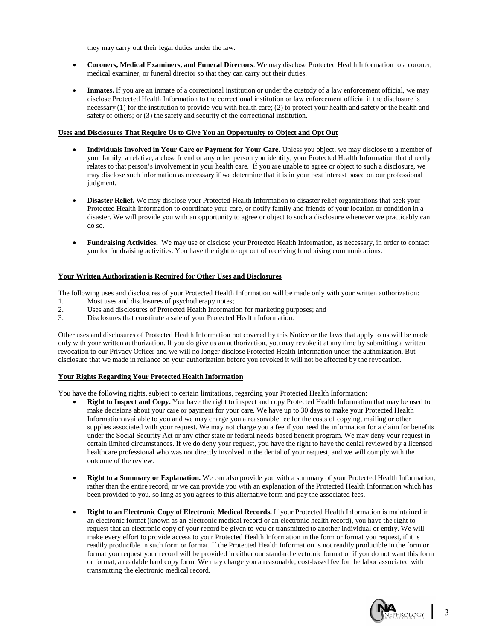they may carry out their legal duties under the law.

- **Coroners, Medical Examiners, and Funeral Directors**. We may disclose Protected Health Information to a coroner, medical examiner, or funeral director so that they can carry out their duties.
- **Inmates.** If you are an inmate of a correctional institution or under the custody of a law enforcement official, we may disclose Protected Health Information to the correctional institution or law enforcement official if the disclosure is necessary (1) for the institution to provide you with health care; (2) to protect your health and safety or the health and safety of others; or (3) the safety and security of the correctional institution.

#### **Uses and Disclosures That Require Us to Give You an Opportunity to Object and Opt Out**

- **Individuals Involved in Your Care or Payment for Your Care.** Unless you object, we may disclose to a member of your family, a relative, a close friend or any other person you identify, your Protected Health Information that directly relates to that person's involvement in your health care. If you are unable to agree or object to such a disclosure, we may disclose such information as necessary if we determine that it is in your best interest based on our professional judgment.
- **Disaster Relief.** We may disclose your Protected Health Information to disaster relief organizations that seek your Protected Health Information to coordinate your care, or notify family and friends of your location or condition in a disaster. We will provide you with an opportunity to agree or object to such a disclosure whenever we practicably can do so.
- **Fundraising Activities.** We may use or disclose your Protected Health Information, as necessary, in order to contact you for fundraising activities. You have the right to opt out of receiving fundraising communications.

#### **Your Written Authorization is Required for Other Uses and Disclosures**

The following uses and disclosures of your Protected Health Information will be made only with your written authorization:

- 1. Most uses and disclosures of psychotherapy notes;
- 2. Uses and disclosures of Protected Health Information for marketing purposes; and
- 3. Disclosures that constitute a sale of your Protected Health Information.

Other uses and disclosures of Protected Health Information not covered by this Notice or the laws that apply to us will be made only with your written authorization. If you do give us an authorization, you may revoke it at any time by submitting a written revocation to our Privacy Officer and we will no longer disclose Protected Health Information under the authorization. But disclosure that we made in reliance on your authorization before you revoked it will not be affected by the revocation.

#### **Your Rights Regarding Your Protected Health Information**

You have the following rights, subject to certain limitations, regarding your Protected Health Information:

- **Right to Inspect and Copy.** You have the right to inspect and copy Protected Health Information that may be used to make decisions about your care or payment for your care. We have up to 30 days to make your Protected Health Information available to you and we may charge you a reasonable fee for the costs of copying, mailing or other supplies associated with your request. We may not charge you a fee if you need the information for a claim for benefits under the Social Security Act or any other state or federal needs-based benefit program. We may deny your request in certain limited circumstances. If we do deny your request, you have the right to have the denial reviewed by a licensed healthcare professional who was not directly involved in the denial of your request, and we will comply with the outcome of the review.
- **Right to a Summary or Explanation.** We can also provide you with a summary of your Protected Health Information, rather than the entire record, or we can provide you with an explanation of the Protected Health Information which has been provided to you, so long as you agrees to this alternative form and pay the associated fees.
- **Right to an Electronic Copy of Electronic Medical Records.** If your Protected Health Information is maintained in an electronic format (known as an electronic medical record or an electronic health record), you have the right to request that an electronic copy of your record be given to you or transmitted to another individual or entity. We will make every effort to provide access to your Protected Health Information in the form or format you request, if it is readily producible in such form or format. If the Protected Health Information is not readily producible in the form or format you request your record will be provided in either our standard electronic format or if you do not want this form or format, a readable hard copy form*.* We may charge you a reasonable, cost-based fee for the labor associated with transmitting the electronic medical record.

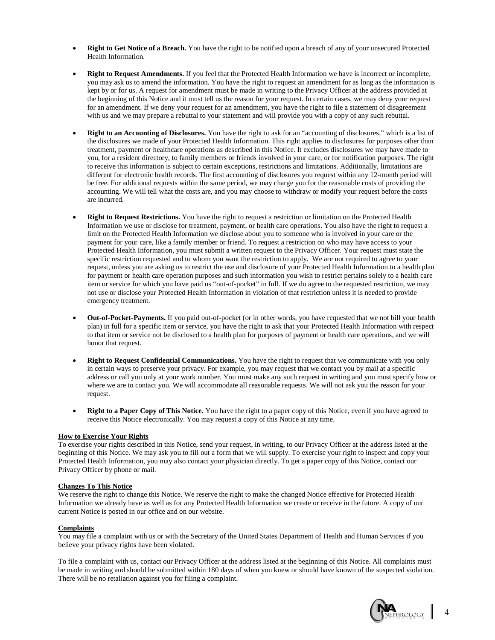- **Right to Get Notice of a Breach.** You have the right to be notified upon a breach of any of your unsecured Protected Health Information.
- **Right to Request Amendments.** If you feel that the Protected Health Information we have is incorrect or incomplete, you may ask us to amend the information. You have the right to request an amendment for as long as the information is kept by or for us. A request for amendment must be made in writing to the Privacy Officer at the address provided at the beginning of this Notice and it must tell us the reason for your request. In certain cases, we may deny your request for an amendment. If we deny your request for an amendment, you have the right to file a statement of disagreement with us and we may prepare a rebuttal to your statement and will provide you with a copy of any such rebuttal.
- **Right to an Accounting of Disclosures.** You have the right to ask for an "accounting of disclosures," which is a list of the disclosures we made of your Protected Health Information. This right applies to disclosures for purposes other than treatment, payment or healthcare operations as described in this Notice. It excludes disclosures we may have made to you, for a resident directory, to family members or friends involved in your care, or for notification purposes. The right to receive this information is subject to certain exceptions, restrictions and limitations. Additionally, limitations are different for electronic health records. The first accounting of disclosures you request within any 12-month period will be free. For additional requests within the same period, we may charge you for the reasonable costs of providing the accounting. We will tell what the costs are, and you may choose to withdraw or modify your request before the costs are incurred.
- **Right to Request Restrictions.** You have the right to request a restriction or limitation on the Protected Health Information we use or disclose for treatment, payment, or health care operations. You also have the right to request a limit on the Protected Health Information we disclose about you to someone who is involved in your care or the payment for your care, like a family member or friend. To request a restriction on who may have access to your Protected Health Information, you must submit a written request to the Privacy Officer. Your request must state the specific restriction requested and to whom you want the restriction to apply. We are not required to agree to your request, unless you are asking us to restrict the use and disclosure of your Protected Health Information to a health plan for payment or health care operation purposes and such information you wish to restrict pertains solely to a health care item or service for which you have paid us "out-of-pocket" in full. If we do agree to the requested restriction, we may not use or disclose your Protected Health Information in violation of that restriction unless it is needed to provide emergency treatment.
- **Out-of-Pocket-Payments.** If you paid out-of-pocket (or in other words, you have requested that we not bill your health plan) in full for a specific item or service, you have the right to ask that your Protected Health Information with respect to that item or service not be disclosed to a health plan for purposes of payment or health care operations, and we will honor that request.
- **Right to Request Confidential Communications.** You have the right to request that we communicate with you only in certain ways to preserve your privacy. For example, you may request that we contact you by mail at a specific address or call you only at your work number. You must make any such request in writing and you must specify how or where we are to contact you. We will accommodate all reasonable requests. We will not ask you the reason for your request.
- **Right to a Paper Copy of This Notice.** You have the right to a paper copy of this Notice, even if you have agreed to receive this Notice electronically. You may request a copy of this Notice at any time.

## **How to Exercise Your Rights**

To exercise your rights described in this Notice, send your request, in writing, to our Privacy Officer at the address listed at the beginning of this Notice. We may ask you to fill out a form that we will supply. To exercise your right to inspect and copy your Protected Health Information, you may also contact your physician directly. To get a paper copy of this Notice, contact our Privacy Officer by phone or mail.

#### **Changes To This Notice**

We reserve the right to change this Notice. We reserve the right to make the changed Notice effective for Protected Health Information we already have as well as for any Protected Health Information we create or receive in the future. A copy of our current Notice is posted in our office and on our website.

## **Complaints**

You may file a complaint with us or with the Secretary of the United States Department of Health and Human Services if you believe your privacy rights have been violated.

To file a complaint with us, contact our Privacy Officer at the address listed at the beginning of this Notice. All complaints must be made in writing and should be submitted within 180 days of when you knew or should have known of the suspected violation. There will be no retaliation against you for filing a complaint.

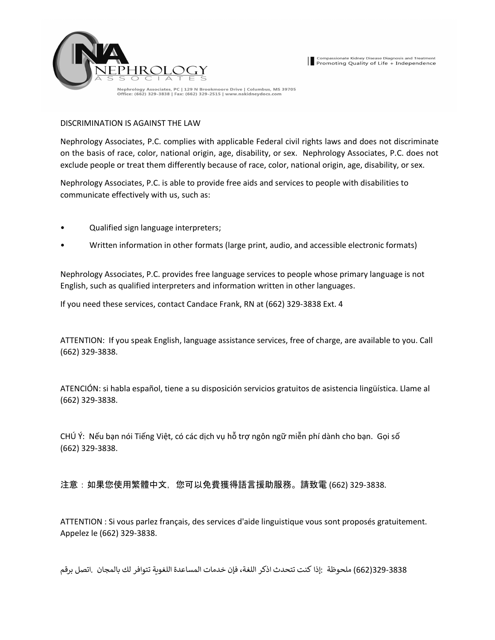

.<br>Compassionate Kidney Disease Diagnosis and Treatment **Promoting Quality of Life + Independence** 

# DISCRIMINATION IS AGAINST THE LAW

Nephrology Associates, P.C. complies with applicable Federal civil rights laws and does not discriminate on the basis of race, color, national origin, age, disability, or sex. Nephrology Associates, P.C. does not exclude people or treat them differently because of race, color, national origin, age, disability, or sex.

Nephrology Associates, P.C. is able to provide free aids and services to people with disabilities to communicate effectively with us, such as:

- Qualified sign language interpreters;
- Written information in other formats (large print, audio, and accessible electronic formats)

Nephrology Associates, P.C. provides free language services to people whose primary language is not English, such as qualified interpreters and information written in other languages.

If you need these services, contact Candace Frank, RN at (662) 329-3838 Ext. 4

ATTENTION: If you speak English, language assistance services, free of charge, are available to you. Call (662) 329-3838.

ATENCIÓN: si habla español, tiene a su disposición servicios gratuitos de asistencia lingüística. Llame al (662) 329-3838.

CHÚ Ý: Nếu bạn nói Tiếng Việt, có các dịch vụ hỗ trợ ngôn ngữ miễn phí dành cho bạn. Gọi số (662) 329-3838.

注意:如果您使用繁體中文,您可以免費獲得語言援助服務。請致電 (662) 329-3838.

ATTENTION : Si vous parlez français, des services d'aide linguistique vous sont proposés gratuitement. Appelez le (662) 329-3838.

329-3838(662) ملحوظة :إذا كنت تتحدث اذكر اللغة، فإن خدمات المساعدة اللغ��ة تتوافر لك بالمجان .اتصل برقم